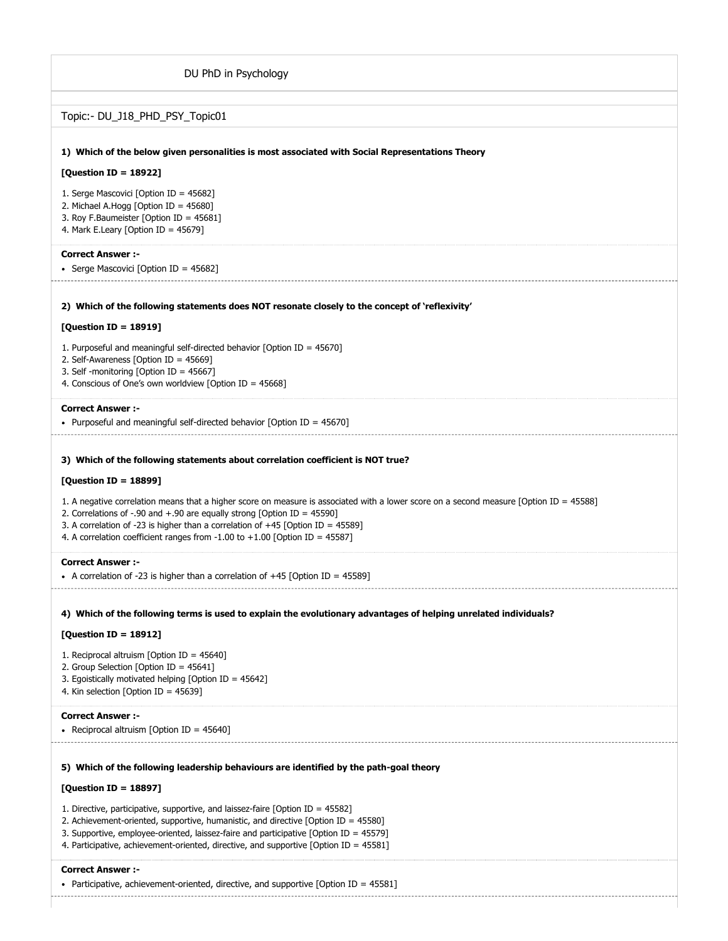| DU PhD in Psychology                                                                                                                                                                                                                                                                                                                                                                           |
|------------------------------------------------------------------------------------------------------------------------------------------------------------------------------------------------------------------------------------------------------------------------------------------------------------------------------------------------------------------------------------------------|
| Topic:- DU_J18_PHD_PSY_Topic01                                                                                                                                                                                                                                                                                                                                                                 |
| 1) Which of the below given personalities is most associated with Social Representations Theory                                                                                                                                                                                                                                                                                                |
| [Question ID = 18922]                                                                                                                                                                                                                                                                                                                                                                          |
| 1. Serge Mascovici [Option ID = 45682]<br>2. Michael A.Hogg [Option ID = 45680]<br>3. Roy F.Baumeister [Option ID = 45681]<br>4. Mark E.Leary [Option ID = 45679]                                                                                                                                                                                                                              |
| <b>Correct Answer :-</b><br>• Serge Mascovici [Option ID = 45682]                                                                                                                                                                                                                                                                                                                              |
| 2) Which of the following statements does NOT resonate closely to the concept of 'reflexivity'                                                                                                                                                                                                                                                                                                 |
| [Question ID = 18919]                                                                                                                                                                                                                                                                                                                                                                          |
| 1. Purposeful and meaningful self-directed behavior [Option ID = $45670$ ]<br>2. Self-Awareness [Option ID = $45669$ ]                                                                                                                                                                                                                                                                         |
| 3. Self -monitoring [Option ID = 45667]                                                                                                                                                                                                                                                                                                                                                        |
| 4. Conscious of One's own worldview [Option ID = 45668]                                                                                                                                                                                                                                                                                                                                        |
| <b>Correct Answer:-</b><br>• Purposeful and meaningful self-directed behavior (Option ID = $45670$ )                                                                                                                                                                                                                                                                                           |
| 3) Which of the following statements about correlation coefficient is NOT true?                                                                                                                                                                                                                                                                                                                |
| [Question ID = 18899]                                                                                                                                                                                                                                                                                                                                                                          |
| 1. A negative correlation means that a higher score on measure is associated with a lower score on a second measure [Option ID = 45588]<br>2. Correlations of -.90 and +.90 are equally strong [Option ID = $45590$ ]<br>3. A correlation of -23 is higher than a correlation of +45 [Option ID = $45589$ ]<br>4. A correlation coefficient ranges from $-1.00$ to $+1.00$ [Option ID = 45587] |
| <b>Correct Answer :-</b><br>• A correlation of -23 is higher than a correlation of $+45$ [Option ID = 45589]                                                                                                                                                                                                                                                                                   |
| 4) Which of the following terms is used to explain the evolutionary advantages of helping unrelated individuals?                                                                                                                                                                                                                                                                               |
| [Question ID = 18912]                                                                                                                                                                                                                                                                                                                                                                          |
| 1. Reciprocal altruism [Option ID = $45640$ ]<br>2. Group Selection [Option ID = 45641]<br>3. Egoistically motivated helping [Option ID = 45642]<br>4. Kin selection [Option ID = $45639$ ]                                                                                                                                                                                                    |
| <b>Correct Answer :-</b><br>• Reciprocal altruism [Option ID = $45640$ ]                                                                                                                                                                                                                                                                                                                       |
|                                                                                                                                                                                                                                                                                                                                                                                                |
| 5) Which of the following leadership behaviours are identified by the path-goal theory                                                                                                                                                                                                                                                                                                         |
| [Question ID = 18897]                                                                                                                                                                                                                                                                                                                                                                          |
| 1. Directive, participative, supportive, and laissez-faire [Option ID = 45582]<br>2. Achievement-oriented, supportive, humanistic, and directive [Option ID = $45580$ ]<br>3. Supportive, employee-oriented, laissez-faire and participative [Option ID = 45579]<br>4. Participative, achievement-oriented, directive, and supportive [Option ID = 45581]                                      |
| <b>Correct Answer:-</b><br>• Participative, achievement-oriented, directive, and supportive [Option ID = $45581$ ]                                                                                                                                                                                                                                                                             |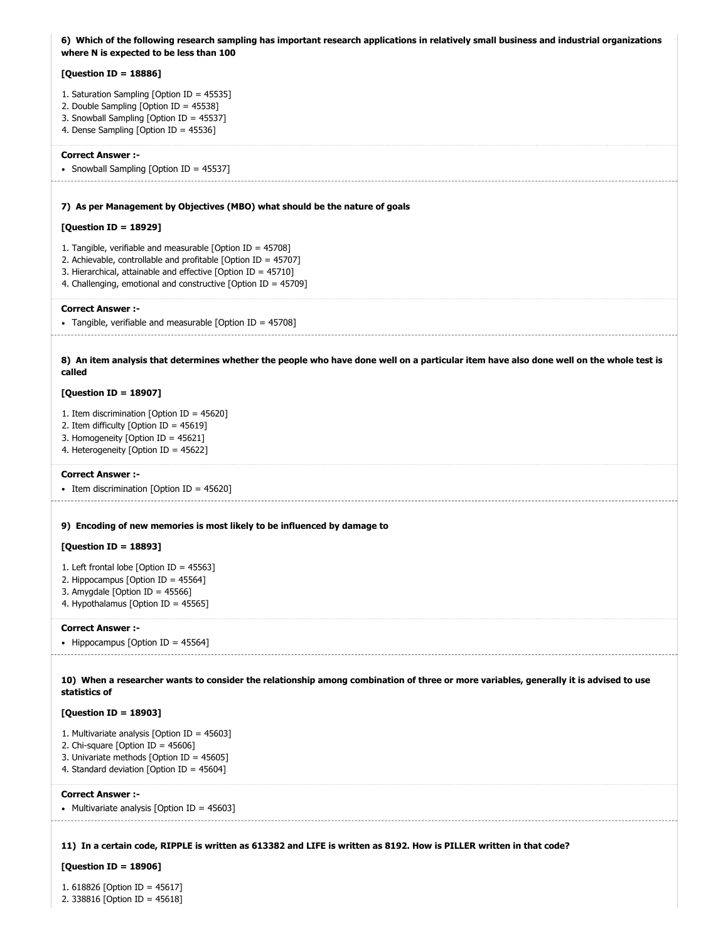| 6) Which of the following research sampling has important research applications in relatively small business and industrial organizations<br>where N is expected to be less than 100                                                                                  |
|-----------------------------------------------------------------------------------------------------------------------------------------------------------------------------------------------------------------------------------------------------------------------|
| [Question ID = $18886$ ]                                                                                                                                                                                                                                              |
| 1. Saturation Sampling [Option ID = 45535]<br>2. Double Sampling [Option ID = 45538]<br>3. Snowball Sampling [Option ID = 45537]<br>4. Dense Sampling [Option ID = 45536]                                                                                             |
| <b>Correct Answer :-</b><br>• Snowball Sampling [Option ID = 45537]                                                                                                                                                                                                   |
| 7) As per Management by Objectives (MBO) what should be the nature of goals                                                                                                                                                                                           |
| [Question ID = 18929]                                                                                                                                                                                                                                                 |
| 1. Tangible, verifiable and measurable [Option ID = $45708$ ]<br>2. Achievable, controllable and profitable [Option ID = $45707$ ]<br>3. Hierarchical, attainable and effective [Option ID = 45710]<br>4. Challenging, emotional and constructive [Option ID = 45709] |
| <b>Correct Answer :-</b><br>• Tangible, verifiable and measurable [Option ID = $45708$ ]                                                                                                                                                                              |
| 8) An item analysis that determines whether the people who have done well on a particular item have also done well on the whole test is<br>called                                                                                                                     |
| [Question ID = 18907]                                                                                                                                                                                                                                                 |
| 1. Item discrimination [Option ID = $45620$ ]<br>2. Item difficulty [Option ID = $45619$ ]<br>3. Homogeneity [Option ID = 45621]<br>4. Heterogeneity [Option ID = 45622]                                                                                              |
| <b>Correct Answer :-</b><br>• Item discrimination [Option ID = 45620]                                                                                                                                                                                                 |
| 9) Encoding of new memories is most likely to be influenced by damage to                                                                                                                                                                                              |
| [Question ID = $18893$ ]                                                                                                                                                                                                                                              |
| 1. Left frontal lobe [Option ID = 45563]<br>2. Hippocampus [Option ID = 45564]<br>3. Amygdale [Option ID = $45566$ ]<br>4. Hypothalamus [Option ID = 45565]                                                                                                           |
| <b>Correct Answer :-</b><br>• Hippocampus [Option ID = 45564]                                                                                                                                                                                                         |
| 10) When a researcher wants to consider the relationship among combination of three or more variables, generally it is advised to use<br>statistics of                                                                                                                |
| [Question ID = 18903]                                                                                                                                                                                                                                                 |
| 1. Multivariate analysis [Option ID = $45603$ ]<br>2. Chi-square [Option ID = $45606$ ]<br>3. Univariate methods [Option ID = 45605]<br>4. Standard deviation [Option ID = 45604]                                                                                     |
| <b>Correct Answer:-</b><br>• Multivariate analysis [Option ID = 45603]                                                                                                                                                                                                |
| 11) In a certain code, RIPPLE is written as 613382 and LIFE is written as 8192. How is PILLER written in that code?                                                                                                                                                   |
| [Question ID = 18906]                                                                                                                                                                                                                                                 |
| 1. 618826 [Option ID = 45617]                                                                                                                                                                                                                                         |

2. 338816 [Option ID = 45618]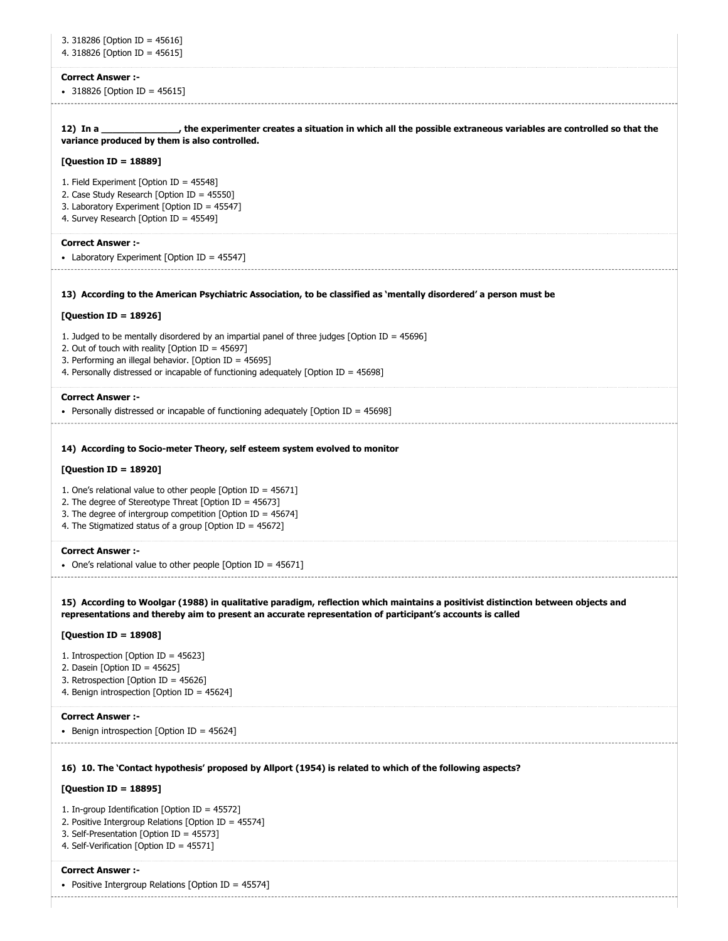| 3. 318286 [Option ID = 45616]<br>4. 318826 [Option ID = 45615]                                                                                                                                                                                                                                           |
|----------------------------------------------------------------------------------------------------------------------------------------------------------------------------------------------------------------------------------------------------------------------------------------------------------|
| <b>Correct Answer :-</b><br>• 318826 [Option ID = 45615]                                                                                                                                                                                                                                                 |
| 12) In a _________________, the experimenter creates a situation in which all the possible extraneous variables are controlled so that the<br>variance produced by them is also controlled.                                                                                                              |
| [Question ID = 18889]                                                                                                                                                                                                                                                                                    |
| 1. Field Experiment [Option ID = $45548$ ]<br>2. Case Study Research [Option ID = 45550]<br>3. Laboratory Experiment [Option ID = 45547]<br>4. Survey Research [Option ID = 45549]                                                                                                                       |
| <b>Correct Answer :-</b><br>• Laboratory Experiment [Option ID = 45547]                                                                                                                                                                                                                                  |
| 13) According to the American Psychiatric Association, to be classified as 'mentally disordered' a person must be                                                                                                                                                                                        |
| [Question ID = 18926]                                                                                                                                                                                                                                                                                    |
| 1. Judged to be mentally disordered by an impartial panel of three judges [Option ID = $45696$ ]<br>2. Out of touch with reality [Option ID = $45697$ ]<br>3. Performing an illegal behavior. [Option ID = 45695]<br>4. Personally distressed or incapable of functioning adequately [Option ID = 45698] |
| <b>Correct Answer :-</b>                                                                                                                                                                                                                                                                                 |
| • Personally distressed or incapable of functioning adequately [Option ID = 45698]                                                                                                                                                                                                                       |
| 14) According to Socio-meter Theory, self esteem system evolved to monitor<br>[Question ID = 18920]                                                                                                                                                                                                      |
| 1. One's relational value to other people [Option ID = $45671$ ]<br>2. The degree of Stereotype Threat [Option ID = 45673]<br>3. The degree of intergroup competition [Option ID = $45674$ ]<br>4. The Stigmatized status of a group [Option ID = $45672$ ]                                              |
| <b>Correct Answer :-</b><br>One's relational value to other people [Option ID = $45671$ ]                                                                                                                                                                                                                |
| 15) According to Woolgar (1988) in qualitative paradigm, reflection which maintains a positivist distinction between objects and<br>representations and thereby aim to present an accurate representation of participant's accounts is called                                                            |
| [Question ID = 18908]                                                                                                                                                                                                                                                                                    |
| 1. Introspection [Option ID = $45623$ ]<br>2. Dasein [Option ID = $45625$ ]<br>3. Retrospection [Option ID = 45626]<br>4. Benign introspection [Option ID = 45624]                                                                                                                                       |
| <b>Correct Answer :-</b><br>• Benign introspection [Option ID = 45624]                                                                                                                                                                                                                                   |
| 16) 10. The 'Contact hypothesis' proposed by Allport (1954) is related to which of the following aspects?                                                                                                                                                                                                |
| [Question ID = 18895]                                                                                                                                                                                                                                                                                    |
| 1. In-group Identification [Option ID = 45572]<br>2. Positive Intergroup Relations [Option ID = 45574]<br>3. Self-Presentation [Option ID = 45573]<br>4. Self-Verification [Option ID = 45571]                                                                                                           |
| <b>Correct Answer :-</b><br>• Positive Intergroup Relations [Option ID = $45574$ ]                                                                                                                                                                                                                       |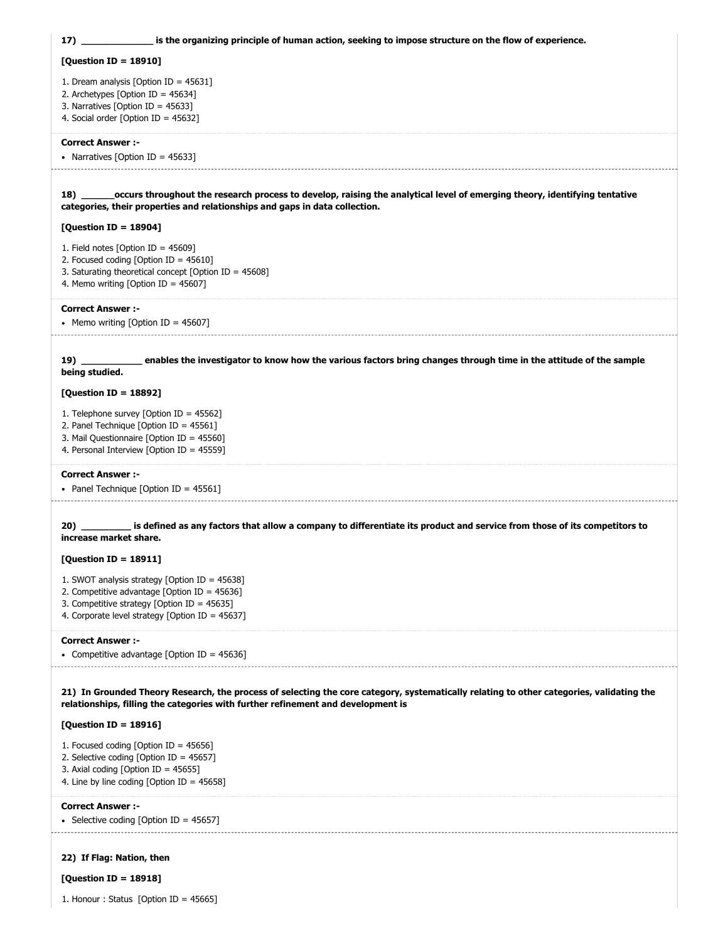**17) 18) 19) 20) 21) In Grounded Theory Research, the process of selecting the core category, systematically relating to other categories, validating the \_\_\_\_\_\_\_\_\_\_\_\_\_ is the organizing principle of human action, seeking to impose structure on the flow of experience. [Question ID = 18910]** 1. Dream analysis [Option ID = 45631] 2. Archetypes [Option ID = 45634] 3. Narratives [Option ID = 45633] 4. Social order [Option ID = 45632] **Correct Answer :-** • Narratives [Option ID =  $45633$ ] **\_\_\_\_\_\_occurs throughout the research process to develop, raising the analytical level of emerging theory, identifying tentative categories, their properties and relationships and gaps in data collection. [Question ID = 18904]** 1. Field notes [Option ID = 45609] 2. Focused coding [Option ID = 45610] 3. Saturating theoretical concept [Option ID = 45608] 4. Memo writing [Option ID = 45607] **Correct Answer :-** • Memo writing  $[Option ID = 45607]$ **\_\_\_\_\_\_\_\_\_\_\_ enables the investigator to know how the various factors bring changes through time in the attitude of the sample being studied. [Question ID = 18892]** 1. Telephone survey [Option ID = 45562] 2. Panel Technique [Option ID = 45561] 3. Mail Questionnaire [Option ID = 45560] 4. Personal Interview [Option ID = 45559] **Correct Answer :-** • Panel Technique [Option ID = 45561] **\_\_\_\_\_\_\_\_\_ is defined as any factors that allow a company to differentiate its product and service from those of its competitors to increase market share. [Question ID = 18911]** 1. SWOT analysis strategy [Option ID = 45638] 2. Competitive advantage [Option ID = 45636] 3. Competitive strategy [Option ID = 45635] 4. Corporate level strategy [Option ID = 45637] **Correct Answer :-** • Competitive advantage [Option ID = 45636] **relationships, filling the categories with further refinement and development is [Question ID = 18916]** 1. Focused coding [Option ID = 45656] 2. Selective coding [Option ID = 45657] 3. Axial coding [Option ID = 45655] 4. Line by line coding [Option ID = 45658] **Correct Answer :-** • Selective coding [Option ID =  $45657$ ]

#### **22) If Flag: Nation, then**

## **[Question ID = 18918]**

1. Honour : Status [Option ID = 45665]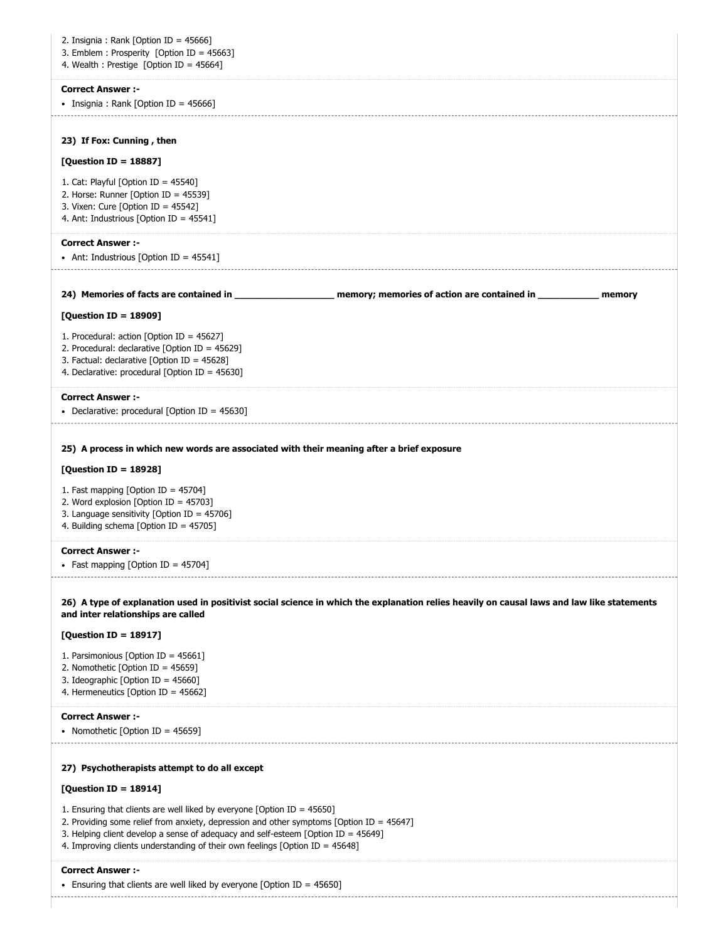| 2. Insignia : Rank [Option ID = $45666$ ]<br>3. Emblem : Prosperity [Option ID = $45663$ ]<br>4. Wealth : Prestige [Option ID = 45664]                                                                                                                                                                                                         |
|------------------------------------------------------------------------------------------------------------------------------------------------------------------------------------------------------------------------------------------------------------------------------------------------------------------------------------------------|
| <b>Correct Answer:-</b><br>• Insignia : Rank [Option ID = 45666]                                                                                                                                                                                                                                                                               |
| 23) If Fox: Cunning, then                                                                                                                                                                                                                                                                                                                      |
| [Question ID = 18887]                                                                                                                                                                                                                                                                                                                          |
| 1. Cat: Playful [Option ID = $45540$ ]<br>2. Horse: Runner [Option ID = 45539]<br>3. Vixen: Cure [Option ID = $45542$ ]<br>4. Ant: Industrious [Option ID = 45541]                                                                                                                                                                             |
| <b>Correct Answer:-</b><br>• Ant: Industrious [Option ID = $45541$ ]                                                                                                                                                                                                                                                                           |
| 24) Memories of facts are contained in ________________________ memory; memories of action are contained in _____________ memory                                                                                                                                                                                                               |
| [Question ID = 18909]                                                                                                                                                                                                                                                                                                                          |
| 1. Procedural: action [Option ID = $45627$ ]<br>2. Procedural: declarative [Option ID = $45629$ ]<br>3. Factual: declarative [Option ID = $45628$ ]<br>4. Declarative: procedural [Option ID = $45630$ ]                                                                                                                                       |
| <b>Correct Answer :-</b><br>• Declarative: procedural [Option ID = 45630]                                                                                                                                                                                                                                                                      |
| 25) A process in which new words are associated with their meaning after a brief exposure<br>[Question ID = 18928]<br>1. Fast mapping [Option ID = 45704]<br>2. Word explosion [Option ID = $45703$ ]<br>3. Language sensitivity [Option ID = $45706$ ]<br>4. Building schema [Option ID = 45705]                                              |
| <b>Correct Answer:-</b><br>• Fast mapping [Option ID = 45704]                                                                                                                                                                                                                                                                                  |
| 26) A type of explanation used in positivist social science in which the explanation relies heavily on causal laws and law like statements<br>and inter relationships are called                                                                                                                                                               |
| [Question ID = 18917]                                                                                                                                                                                                                                                                                                                          |
| 1. Parsimonious [Option ID = 45661]<br>2. Nomothetic [Option ID = 45659]<br>3. Ideographic [Option ID = 45660]<br>4. Hermeneutics [Option ID = 45662]                                                                                                                                                                                          |
| <b>Correct Answer:-</b><br>• Nomothetic [Option ID = 45659]                                                                                                                                                                                                                                                                                    |
| 27) Psychotherapists attempt to do all except                                                                                                                                                                                                                                                                                                  |
| [Question ID = 18914]                                                                                                                                                                                                                                                                                                                          |
| 1. Ensuring that clients are well liked by everyone [Option ID = $45650$ ]<br>2. Providing some relief from anxiety, depression and other symptoms [Option ID = 45647]<br>3. Helping client develop a sense of adequacy and self-esteem [Option ID = $45649$ ]<br>4. Improving clients understanding of their own feelings [Option ID = 45648] |
| <b>Correct Answer :-</b><br>• Ensuring that clients are well liked by everyone [Option ID = 45650]                                                                                                                                                                                                                                             |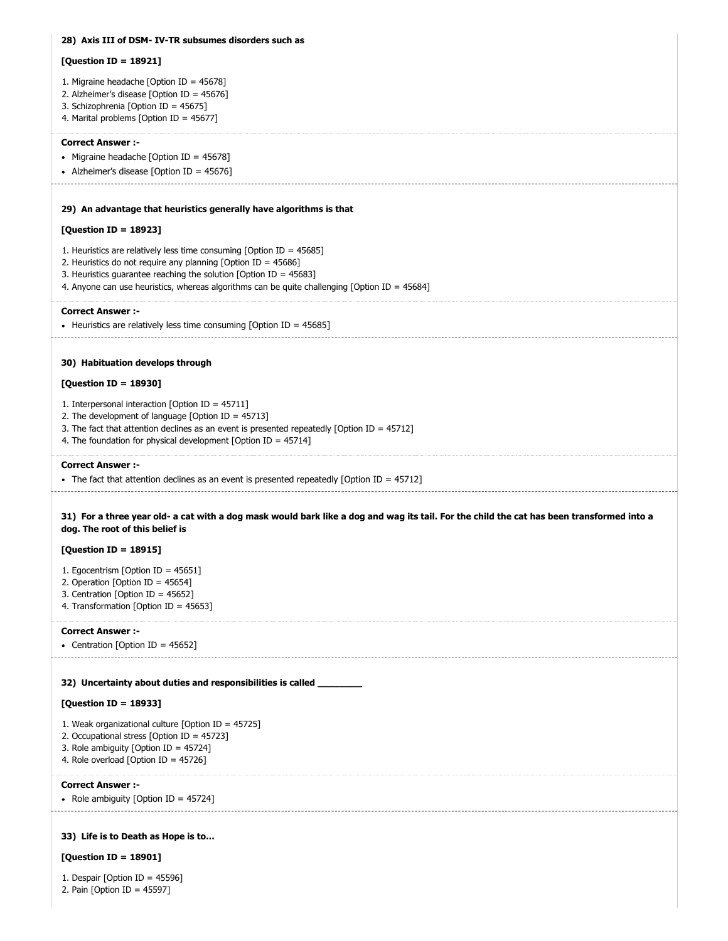# **28) Axis III of DSM- IV-TR subsumes disorders such as 29) An advantage that heuristics generally have algorithms is that 30) Habituation develops through 31) For a three year old- a cat with a dog mask would bark like a dog and wag its tail. For the child the cat has been transformed into a 32) Uncertainty about duties and responsibilities is called \_\_\_\_\_\_\_\_ 33) Life is to Death as Hope is to… [Question ID = 18921]** 1. Migraine headache [Option ID = 45678] 2. Alzheimer's disease [Option ID = 45676] 3. Schizophrenia [Option ID = 45675] 4. Marital problems [Option ID = 45677] **Correct Answer :-**  $\bullet$  Migraine headache [Option ID = 45678] • Alzheimer's disease [Option ID = 45676] **[Question ID = 18923]** 1. Heuristics are relatively less time consuming [Option ID = 45685] 2. Heuristics do not require any planning [Option ID = 45686] 3. Heuristics guarantee reaching the solution [Option ID = 45683] 4. Anyone can use heuristics, whereas algorithms can be quite challenging [Option ID = 45684] **Correct Answer :-** • Heuristics are relatively less time consuming [Option ID = 45685] **[Question ID = 18930]** 1. Interpersonal interaction [Option ID = 45711] 2. The development of language [Option ID = 45713] 3. The fact that attention declines as an event is presented repeatedly [Option ID = 45712] 4. The foundation for physical development [Option ID = 45714] **Correct Answer :-** The fact that attention declines as an event is presented repeatedly [Option ID =  $45712$ ] **dog. The root of this belief is [Question ID = 18915]** 1. Egocentrism [Option ID = 45651] 2. Operation [Option ID = 45654] 3. Centration [Option ID = 45652] 4. Transformation [Option ID = 45653] **Correct Answer :-** • Centration [Option ID = 45652] **[Question ID = 18933]** 1. Weak organizational culture [Option ID = 45725] 2. Occupational stress [Option ID = 45723] 3. Role ambiguity [Option ID = 45724] 4. Role overload [Option ID = 45726] **Correct Answer :-** • Role ambiguity [Option ID =  $45724$ ] **[Question ID = 18901]**

1. Despair [Option ID = 45596]

2. Pain [Option ID = 45597]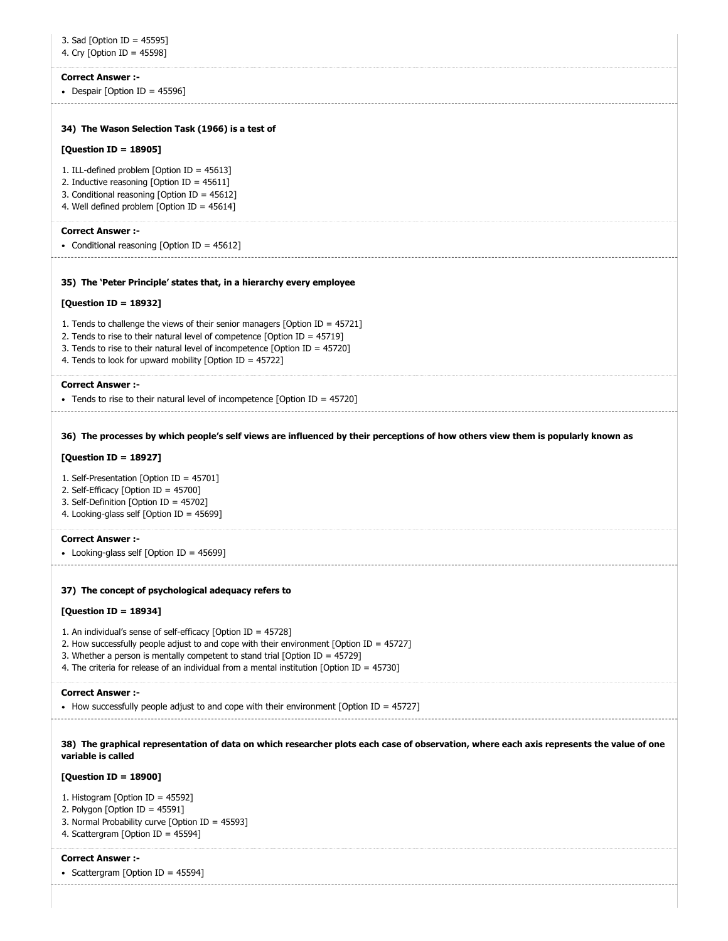## **Correct Answer :-**

• Despair  $[Option ID = 45596]$ 

## **34) The Wason Selection Task (1966) is a test of**

### **[Question ID = 18905]**

- 1. ILL-defined problem [Option ID = 45613]
- 2. Inductive reasoning [Option ID = 45611]
- 3. Conditional reasoning [Option ID = 45612]
- 4. Well defined problem [Option ID = 45614]

#### **Correct Answer :-**

• Conditional reasoning [Option ID = 45612]

#### **35) The 'Peter Principle' states that, in a hierarchy every employee**

#### **[Question ID = 18932]**

- 1. Tends to challenge the views of their senior managers [Option ID = 45721]
- 2. Tends to rise to their natural level of competence [Option ID = 45719]
- 3. Tends to rise to their natural level of incompetence [Option ID = 45720]
- 4. Tends to look for upward mobility [Option ID = 45722]

## **Correct Answer :-**

Tends to rise to their natural level of incompetence [Option ID = 45720]

#### **36) The processes by which people's self views are influenced by their perceptions of how others view them is popularly known as**

## **[Question ID = 18927]**

- 1. Self-Presentation [Option ID = 45701]
- 2. Self-Efficacy [Option ID = 45700]
- 3. Self-Definition [Option ID = 45702]
- 4. Looking-glass self [Option ID = 45699]

#### **Correct Answer :-**

Looking-glass self [Option ID = 45699]

#### **37) The concept of psychological adequacy refers to**

## **[Question ID = 18934]**

1. An individual's sense of self-efficacy [Option ID = 45728]

- 2. How successfully people adjust to and cope with their environment [Option ID = 45727]
- 3. Whether a person is mentally competent to stand trial [Option ID = 45729]
- 4. The criteria for release of an individual from a mental institution [Option ID = 45730]

## **Correct Answer :-**

How successfully people adjust to and cope with their environment [Option ID =  $45727$ ]

**38) The graphical representation of data on which researcher plots each case of observation, where each axis represents the value of one variable is called**

## **[Question ID = 18900]**

- 1. Histogram [Option ID = 45592]
- 2. Polygon [Option ID = 45591]
- 3. Normal Probability curve [Option ID = 45593]
- 4. Scattergram [Option ID = 45594]

#### **Correct Answer :-**

• Scattergram [Option ID =  $45594$ ]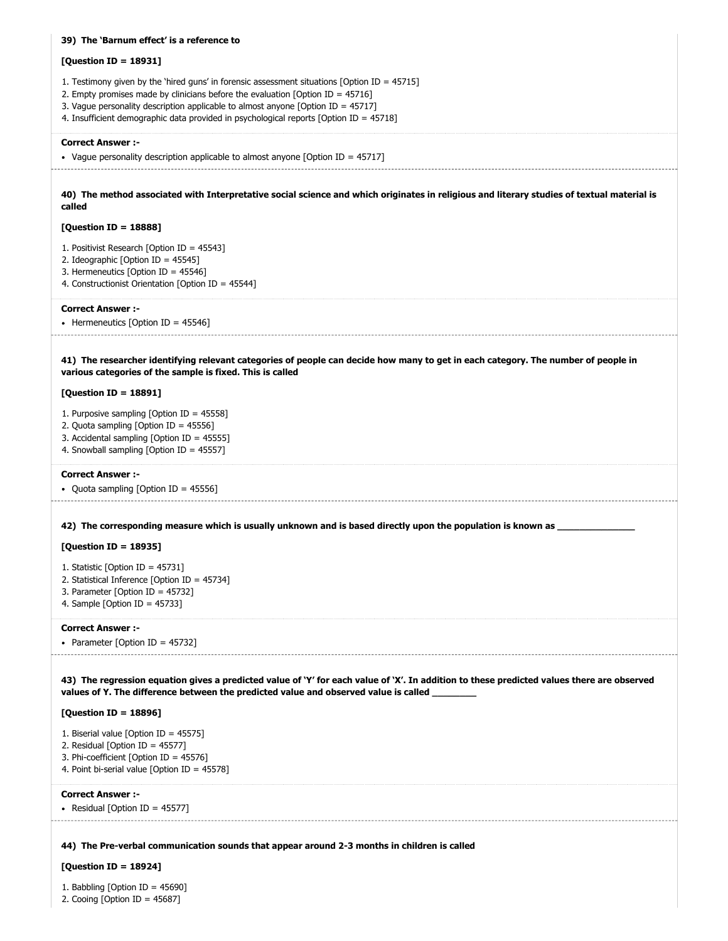| 39) The 'Barnum effect' is a reference to                                                                                                                                                                                                                                                                                                                          |
|--------------------------------------------------------------------------------------------------------------------------------------------------------------------------------------------------------------------------------------------------------------------------------------------------------------------------------------------------------------------|
| [Question ID = 18931]                                                                                                                                                                                                                                                                                                                                              |
| 1. Testimony given by the 'hired guns' in forensic assessment situations [Option ID = $45715$ ]<br>2. Empty promises made by clinicians before the evaluation [Option ID = $45716$ ]<br>3. Vague personality description applicable to almost anyone [Option ID = 45717]<br>4. Insufficient demographic data provided in psychological reports [Option ID = 45718] |
| <b>Correct Answer:-</b><br>• Vague personality description applicable to almost anyone [Option ID = $45717$ ]                                                                                                                                                                                                                                                      |
| 40) The method associated with Interpretative social science and which originates in religious and literary studies of textual material is<br>called                                                                                                                                                                                                               |
| [Question ID = 18888]                                                                                                                                                                                                                                                                                                                                              |
| 1. Positivist Research [Option ID = $45543$ ]<br>2. Ideographic [Option ID = 45545]<br>3. Hermeneutics [Option ID = 45546]<br>4. Constructionist Orientation [Option ID = 45544]                                                                                                                                                                                   |
| <b>Correct Answer:-</b><br>• Hermeneutics [Option ID = 45546]                                                                                                                                                                                                                                                                                                      |
| 41) The researcher identifying relevant categories of people can decide how many to get in each category. The number of people in<br>various categories of the sample is fixed. This is called                                                                                                                                                                     |
| [Question ID = 18891]                                                                                                                                                                                                                                                                                                                                              |
| 1. Purposive sampling [Option ID = 45558]<br>2. Quota sampling [Option ID = 45556]<br>3. Accidental sampling [Option ID = 45555]<br>4. Snowball sampling [Option ID = 45557]                                                                                                                                                                                       |
| <b>Correct Answer :-</b><br>• Quota sampling [Option ID = 45556]                                                                                                                                                                                                                                                                                                   |
| 42) The corresponding measure which is usually unknown and is based directly upon the population is known as ___                                                                                                                                                                                                                                                   |
| [Question ID = 18935]                                                                                                                                                                                                                                                                                                                                              |
| 1. Statistic [Option ID = 45731]<br>2. Statistical Inference [Option ID = 45734]<br>3. Parameter [Option ID = $45732$ ]<br>4. Sample [Option ID = $45733$ ]                                                                                                                                                                                                        |
| <b>Correct Answer:-</b><br>• Parameter [Option ID = $45732$ ]                                                                                                                                                                                                                                                                                                      |
| 43) The regression equation gives a predicted value of 'Y' for each value of 'X'. In addition to these predicted values there are observed<br>values of Y. The difference between the predicted value and observed value is called                                                                                                                                 |
| [Question ID = $18896$ ]                                                                                                                                                                                                                                                                                                                                           |
| 1. Biserial value [Option ID = 45575]<br>2. Residual [Option ID = $45577$ ]<br>3. Phi-coefficient [Option ID = 45576]<br>4. Point bi-serial value [Option ID = 45578]                                                                                                                                                                                              |
| <b>Correct Answer :-</b><br>• Residual [Option ID = 45577]                                                                                                                                                                                                                                                                                                         |
| 44) The Pre-verbal communication sounds that appear around 2-3 months in children is called                                                                                                                                                                                                                                                                        |
| [Question ID = $18924$ ]                                                                                                                                                                                                                                                                                                                                           |
| 1. Babbling [Option ID = $45690$ ]                                                                                                                                                                                                                                                                                                                                 |

2. Cooing [Option ID = 45687]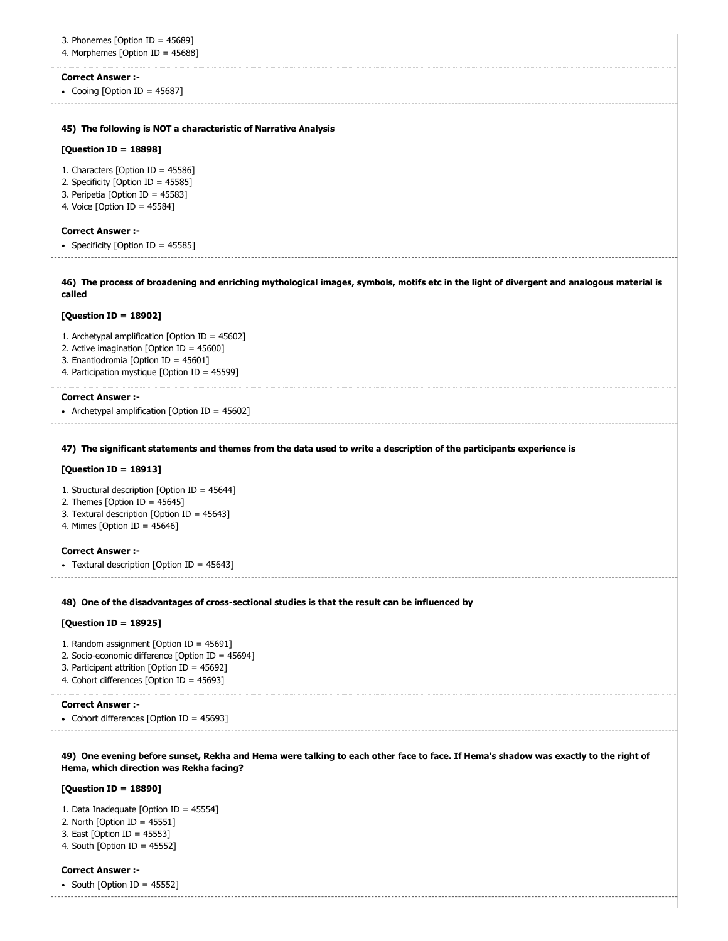| 3. Phonemes [Option ID = $45689$ ]<br>4. Morphemes [Option ID = 45688]                                                                                                                                  |
|---------------------------------------------------------------------------------------------------------------------------------------------------------------------------------------------------------|
| <b>Correct Answer :-</b><br>• Cooing [Option ID = 45687]                                                                                                                                                |
| 45) The following is NOT a characteristic of Narrative Analysis                                                                                                                                         |
| [Question ID = 18898]                                                                                                                                                                                   |
| 1. Characters [Option ID = $45586$ ]<br>2. Specificity [Option ID = 45585]<br>3. Peripetia [Option ID = 45583]<br>4. Voice [Option ID = $45584$ ]                                                       |
| <b>Correct Answer :-</b>                                                                                                                                                                                |
| • Specificity [Option ID = $45585$ ]                                                                                                                                                                    |
| 46) The process of broadening and enriching mythological images, symbols, motifs etc in the light of divergent and analogous material is<br>called                                                      |
| [Question ID = 18902]                                                                                                                                                                                   |
| 1. Archetypal amplification [Option ID = 45602]<br>2. Active imagination [Option ID = 45600]<br>3. Enantiodromia [Option ID = 45601]<br>4. Participation mystique [Option ID = 45599]                   |
| <b>Correct Answer :-</b><br>• Archetypal amplification [Option ID = $45602$ ]                                                                                                                           |
| [Question ID = 18913]<br>1. Structural description [Option ID = 45644]<br>2. Themes [Option ID = $45645$ ]<br>3. Textural description [Option ID = 45643]<br>4. Mimes [Option ID = $45646$ ]            |
| <b>Correct Answer :-</b><br>Textural description [Option ID = 45643]                                                                                                                                    |
| 48) One of the disadvantages of cross-sectional studies is that the result can be influenced by                                                                                                         |
| [Question ID = 18925]                                                                                                                                                                                   |
| 1. Random assignment [Option ID = $45691$ ]                                                                                                                                                             |
| 2. Socio-economic difference [Option ID = 45694]                                                                                                                                                        |
| 3. Participant attrition [Option ID = 45692]<br>4. Cohort differences [Option ID = 45693]                                                                                                               |
| <b>Correct Answer :-</b>                                                                                                                                                                                |
| • Cohort differences [Option ID = 45693]                                                                                                                                                                |
| 49) One evening before sunset, Rekha and Hema were talking to each other face to face. If Hema's shadow was exactly to the right of<br>Hema, which direction was Rekha facing?<br>[Question ID = 18890] |
| 1. Data Inadequate [Option ID = 45554]                                                                                                                                                                  |
| 2. North [Option ID = $45551$ ]<br>3. East [Option ID = 45553]<br>4. South [Option ID = $45552$ ]                                                                                                       |
| <b>Correct Answer :-</b>                                                                                                                                                                                |
| • South [Option ID = 45552]                                                                                                                                                                             |